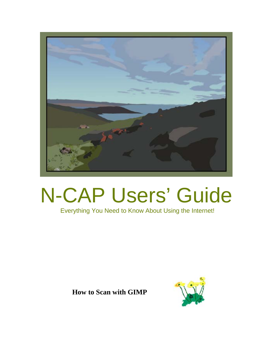

## N-CAP Users' Guide

## Everything You Need to Know About Using the Internet!

**How to Scan with GIMP**

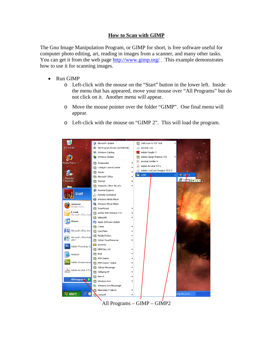## **How to Scan with GIMP**

The Gnu Image Manipulation Program, or GIMP for short, is free software useful for computer photo editing, art, reading in images from a scanner, and many other tasks. You can get it from the web page<http://www.gimp.org/>. This example demonstrates how to use it for scanning images.

- Run GIMP
	- o Left-click with the mouse on the "Start" button in the lower left. Inside the menu that has appeared, move your mouse over "All Programs" but do not click on it. Another menu will appear.
	- o Move the mouse pointer over the folder "GIMP". One final menu will appear.
	- o Left-click with the mouse on "GIMP 2". This will load the program.



All Programs – GIMP – GIMP2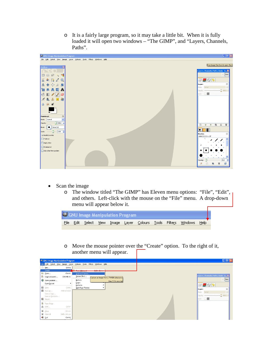o It is a fairly large program, so it may take a little bit. When it is fully loaded it will open two windows – "The GIMP", and "Layers, Channels, Paths".



- Scan the image
	- o The window titled "The GIMP" has Eleven menu options: "File", "Edit", and others. Left-click with the mouse on the "File" menu. A drop-down menu will appear below it.



o Move the mouse pointer over the "Create" option. To the right of it, another menu will appear.

|               | CNU Image Manipulation Program |                   |                                                |                          |                                          |  |  |                                     | $\Box$ e $\mathbf{x}$ |
|---------------|--------------------------------|-------------------|------------------------------------------------|--------------------------|------------------------------------------|--|--|-------------------------------------|-----------------------|
|               | Ele Edit Select View           |                   | Image Layer Colours Tools Filters Windows Help |                          |                                          |  |  |                                     |                       |
|               | New                            | Ctrl+N            |                                                |                          |                                          |  |  |                                     |                       |
|               | Create                         |                   | <b>C</b> From Cipboard                         | <b>Children Children</b> |                                          |  |  |                                     |                       |
| B Open        |                                | $CrH + O$         | Scanner/Camera                                 |                          |                                          |  |  |                                     |                       |
|               | Open as Layers                 | Ctrl+Alt+O        | Screen Shot                                    |                          | Capture an image from a TWAIN datasource |  |  | Layers, Channels, Paths, Undo - B X |                       |
|               | Open Location                  |                   | <b>Buttons</b>                                 |                          |                                          |  |  |                                     | $\vee$ Auto           |
|               | Open Recent                    |                   | Logos                                          |                          | Press F1 for more help                   |  |  |                                     |                       |
|               |                                |                   | Patterns                                       |                          |                                          |  |  | $\rightarrow \sim$                  |                       |
| <b>B</b> Save |                                | $Ctr+5$           | Web Page Themes                                |                          |                                          |  |  | Layers                              |                       |
|               | Save As                        | Shift+Ctrl+S      |                                                |                          |                                          |  |  | Normal<br>Mode:                     |                       |
|               | Save a Copy                    |                   |                                                |                          |                                          |  |  | Opacity:                            | $-100.0$              |
| Revert        | Save as Template               |                   |                                                |                          |                                          |  |  | $\log_{10}$ $\Box$                  |                       |
|               |                                |                   |                                                |                          |                                          |  |  |                                     |                       |
|               | <b>R</b> Page Setup            |                   |                                                |                          |                                          |  |  |                                     |                       |
| 昌 Print       |                                | $Ctrl + P$        |                                                |                          |                                          |  |  |                                     |                       |
| ■ Close       |                                | $C\text{tr}I + W$ |                                                |                          |                                          |  |  |                                     |                       |
| X Close all   |                                | Shift+Ctrl+W      |                                                |                          |                                          |  |  |                                     |                       |
|               |                                | $Ctrl + Q$        |                                                |                          |                                          |  |  |                                     |                       |
| ∙all Quit     |                                |                   |                                                |                          |                                          |  |  |                                     |                       |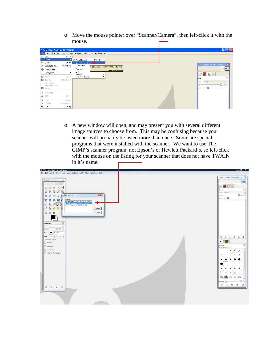o Move the mouse pointer over "Scanner/Camera", then left-click it with the mouse. Г

| <b>CNU</b> Image Manipulation Program |                                                                      |                                       |                             |              |                                          | $\Box$ e $\times$                                                             |
|---------------------------------------|----------------------------------------------------------------------|---------------------------------------|-----------------------------|--------------|------------------------------------------|-------------------------------------------------------------------------------|
|                                       | Eile Edit Select View Image Layer Colours Tools Filters Windows Help |                                       |                             |              |                                          |                                                                               |
|                                       | New                                                                  | Ctrl+N                                |                             |              |                                          |                                                                               |
|                                       | Create                                                               |                                       | From Clipboard              | Shift+Ctrl+V |                                          |                                                                               |
|                                       | <b>B</b> Open                                                        | $C$ tri+0                             | Scanner/Camera              |              |                                          |                                                                               |
|                                       | Open as Layers                                                       | Ctrl+Alt+O                            | Screen Shot                 |              | Capture an image from a TWAIN datasource | Layers, Channels, Paths, Undo - B X                                           |
|                                       | Open Location                                                        |                                       | Buttons                     |              | Press F1 for more help                   | $\vee$ Auto                                                                   |
|                                       | Open Recent                                                          | ٠                                     | Logos                       |              |                                          | $\blacksquare$ $\lozenge$ $\lozenge$                                          |
|                                       | <b>B</b> Save                                                        | $Ctrl + S$                            | Patterns<br>Web Page Themes |              |                                          |                                                                               |
|                                       | Save As                                                              | Shift+Ctrl+S                          |                             |              |                                          | $\begin{array}{ c } \hline \hline \hline \hline \hline \end{array}$<br>Layers |
|                                       | Save a Copy                                                          |                                       |                             |              |                                          | Mode: Normal<br>$\vee$                                                        |
|                                       | Save as Template                                                     |                                       |                             |              |                                          | $100.0\frac{A}{9}$<br>Opacity:                                                |
|                                       | Revert                                                               |                                       |                             |              |                                          | Lock: <b>DIS</b>                                                              |
|                                       | <b>R</b> Page Setup                                                  |                                       |                             |              |                                          |                                                                               |
|                                       | 昌 Print                                                              | $Ctrl + P$                            |                             |              |                                          |                                                                               |
|                                       |                                                                      |                                       |                             |              |                                          |                                                                               |
|                                       | ■ Close                                                              | $C\text{tr}{\mathsf{I}}{+}\mathsf{W}$ |                             |              |                                          |                                                                               |
|                                       | X Close all                                                          | Shift+Ctrl+W                          |                             |              |                                          |                                                                               |
|                                       | ୍∭ out                                                               | $Ctrl + Q$                            |                             |              |                                          |                                                                               |

o A new window will open, and may present you with several different image sources to choose from. This may be confusing because your scanner will probably be listed more than once. Some are special programs that were installed with the scanner. We want to use The GIMP's scanner program, not Epson's or Hewlett Packard's, so left-click with the mouse on the listing for your scanner that does not have TWAIN in it's name.

| 48 GNU Image Manipulation Program                                                                                                                                                                                               | $-0 x$                                                                                                                                                                   |
|---------------------------------------------------------------------------------------------------------------------------------------------------------------------------------------------------------------------------------|--------------------------------------------------------------------------------------------------------------------------------------------------------------------------|
| Eile Edit Select View Image Layer Solours Tools Filters Windows Help                                                                                                                                                            |                                                                                                                                                                          |
| $\lceil \pi \rceil$<br>Toolbox<br>画<br>噐<br>and Sear<br>Select Source<br>٨<br>Sources:<br><b>Total</b><br>HP Photosmart CB100 TWAIN 1.0 (32-32)<br>WIA-Photosmart C\$100 1.0 (32-32)<br>zł,<br>Select<br>△ ◎ ●<br>Cancel<br>в.  | Layers, Channels, Paths, Undo - Br.,. [11]<br>$-$ Auto<br>日号なり<br>$\boxdot$<br>Layers<br>$\left\vert \cdot\right\vert$<br>Mode Romal<br>$Q$ and $I$<br>Opachy<br>inck 口图 |
| $\Xi$<br>Paintbrush<br>$\overline{\cdot}$<br>Mode Normal<br>$\Box$ 1000<br>Opacity.<br>$\bullet$ Crale (11)<br>Brush.<br>Scale 100<br>E Brush Dynamics<br>Fide out<br>TT Apply Jew<br>T Incremental<br>Use colour from gradient | $\rightarrow$<br>易<br>$\Delta t$<br>$\mathbb{R}$<br>目<br>$\rightarrow$<br>$\bullet$<br>$\boxplus$<br><b>Srushes</b><br>Circle (11) (13 = 12)<br>$\overline{\mathcal{L}}$ |
| 日目日日                                                                                                                                                                                                                            | 200<br>B<br>Spacing: - [1]<br>晓<br>D.<br>$\overline{u}$<br>æ<br>٠                                                                                                        |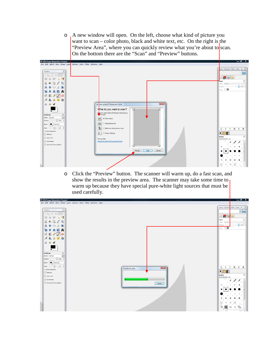o A new window will open. On the left, choose what kind of picture you want to scan – color photo, black and white text, etc. On the right is the "Preview Area", where you can quickly review what you're about to scan. On the bottom there are the "Scan" and "Preview" buttons.



o Click the "Preview" button. The scanner will warm up, do a fast scan, and show the results in the preview area. The scanner may take some time to warm up because they have special pure-white light sources that must be used carefully.

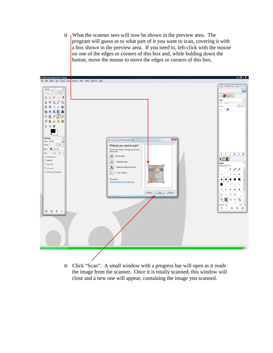o What the scanner sees will now be shown in the preview area. The program will guess as to what part of it you want to scan, covering it with a box shown in the preview area. If you need to, left-click with the mouse on one of the edges or corners of this box and, while holding down the button, move the mouse to move the edges or corners of this box.



o Click "Scan". A small window with a progress bar will open as it reads the image from the scanner. Once it is totally scanned, this window will close and a new one will appear, containing the image you scanned.